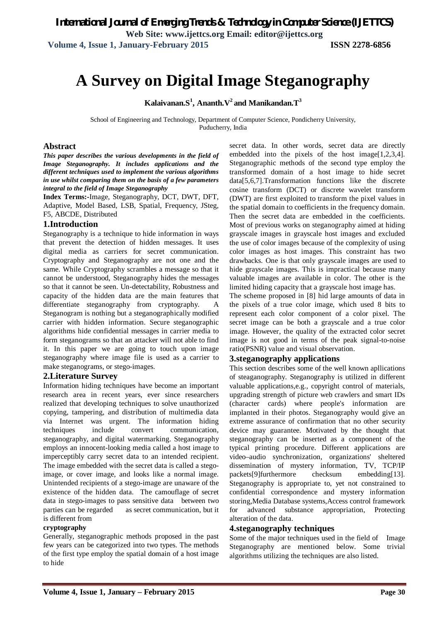# **A Survey on Digital Image Steganography**

 $\mathbf{K}$ alaivanan. $\mathbf{S}^1$ , Ananth. $\mathbf{V}^2$  and Manikandan. $\mathbf{T}^3$ 

School of Engineering and Technology, Department of Computer Science, Pondicherry University, Puducherry, India

### **Abstract**

*This paper describes the various developments in the field of Image Steganography. It includes applications and the different techniques used to implement the various algorithms in use whilst comparing them on the basis of a few parameters integral to the field of Image Steganography*

**Index Terms:-**Image, Steganography, DCT, DWT, DFT, Adaptive, Model Based, LSB, Spatial, Frequency, JSteg, F5, ABCDE, Distributed

# **1.Introduction**

Steganography is a technique to hide information in ways that prevent the detection of hidden messages. It uses digital media as carriers for secret communication. Cryptography and Steganography are not one and the same. While Cryptography scrambles a message so that it cannot be understood, Steganography hides the messages so that it cannot be seen. Un-detectability, Robustness and capacity of the hidden data are the main features that differentiate steganography from cryptography. A Steganogram is nothing but a steganographically modified carrier with hidden information. Secure steganographic algorithms hide confidential messages in carrier media to form steganograms so that an attacker will not able to find it. In this paper we are going to touch upon image steganography where image file is used as a carrier to make steganograms, or stego-images.

#### **2.Literature Survey**

Information hiding techniques have become an important research area in recent years, ever since researchers realized that developing techniques to solve unauthorized copying, tampering, and distribution of multimedia data via Internet was urgent. The information hiding techniques include convert communication, steganography, and digital watermarking. Steganography employs an innocent-looking media called a host image to imperceptibly carry secret data to an intended recipient. The image embedded with the secret data is called a stegoimage, or cover image, and looks like a normal image. Unintended recipients of a stego-image are unaware of the existence of the hidden data. The camouflage of secret data in stego-images to pass sensitive data between two parties can be regarded as secret communication, but it is different from

### **cryptography**

Generally, steganographic methods proposed in the past few years can be categorized into two types. The methods of the first type employ the spatial domain of a host image to hide

secret data. In other words, secret data are directly embedded into the pixels of the host image[1,2,3,4]. Steganographic methods of the second type employ the transformed domain of a host image to hide secret data[5,6,7].Transformation functions like the discrete cosine transform (DCT) or discrete wavelet transform (DWT) are first exploited to transform the pixel values in the spatial domain to coefficients in the frequency domain. Then the secret data are embedded in the coefficients. Most of previous works on steganography aimed at hiding grayscale images in grayscale host images and excluded the use of color images because of the complexity of using color images as host images. This constraint has two drawbacks. One is that only grayscale images are used to hide grayscale images. This is impractical because many valuable images are available in color. The other is the limited hiding capacity that a grayscale host image has.

The scheme proposed in [8] hid large amounts of data in the pixels of a true color image, which used 8 bits to represent each color component of a color pixel. The secret image can be both a grayscale and a true color image. However, the quality of the extracted color secret image is not good in terms of the peak signal-to-noise ratio(PSNR) value and visual observation.

#### **3.steganography applications**

This section describes some of the well known apllications of steaganography. Steganography is utilized in different valuable applications,e.g., copyright control of materials, upgrading strength of picture web crawlers and smart IDs (character cards) where people's information are implanted in their photos. Steganography would give an extreme assurance of confirmation that no other security device may guarantee. Motivated by the thought that steganography can be inserted as a component of the typical printing procedure. Different applications are video–audio synchronization, organizations' sheltered dissemination of mystery information, TV, TCP/IP packets[9]furthermore checksum embedding[13]. Steganography is appropriate to, yet not constrained to confidential correspondence and mystery information storing,Media Database systems,Access control framework for advanced substance appropriation, Protecting alteration of the data.

## **4.steganography techniques**

Some of the major techniques used in the field of Image Steganography are mentioned below. Some trivial algorithms utilizing the techniques are also listed.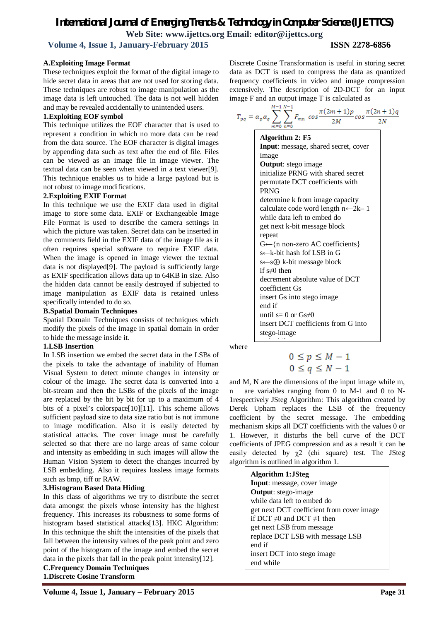# *International Journal of Emerging Trends & Technology in Computer Science (IJETTCS)* **Web Site: www.ijettcs.org Email: editor@ijettcs.org Volume 4, Issue 1, January-February 2015 ISSN 2278-6856**

# **A.Exploiting Image Format**

These techniques exploit the format of the digital image to hide secret data in areas that are not used for storing data. These techniques are robust to image manipulation as the image data is left untouched. The data is not well hidden and may be revealed accidentally to unintended users.

# **1.Exploiting EOF symbol**

This technique utilizes the EOF character that is used to represent a condition in which no more data can be read from the data source. The EOF character is digital images by appending data such as text after the end of file. Files can be viewed as an image file in image viewer. The textual data can be seen when viewed in a text viewer[9]. This technique enables us to hide a large payload but is not robust to image modifications.

### **2.Exploiting EXIF Format**

In this technique we use the EXIF data used in digital image to store some data. EXIF or Exchangeable Image File Format is used to describe the camera settings in which the picture was taken. Secret data can be inserted in the comments field in the EXIF data of the image file as it often requires special software to require EXIF data. When the image is opened in image viewer the textual data is not displayed[9]. The payload is sufficiently large as EXIF specification allows data up to 64KB in size. Also the hidden data cannot be easily destroyed if subjected to image manipulation as EXIF data is retained unless specifically intended to do so.

## **B.Spatial Domain Techniques**

Spatial Domain Techniques consists of techniques which modify the pixels of the image in spatial domain in order to hide the message inside it.

# **1.LSB Insertion**

In LSB insertion we embed the secret data in the LSBs of the pixels to take the advantage of inability of Human Visual System to detect minute changes in intensity or colour of the image. The secret data is converted into a bit-stream and then the LSBs of the pixels of the image are replaced by the bit by bit for up to a maximum of 4 bits of a pixel's colorspace[10][11]. This scheme allows sufficient payload size to data size ratio but is not immune to image modification. Also it is easily detected by statistical attacks. The cover image must be carefully selected so that there are no large areas of same colour and intensity as embedding in such images will allow the Human Vision System to detect the changes incurred by LSB embedding. Also it requires lossless image formats such as bmp, tiff or RAW.

# **3.Histogram Based Data Hiding**

In this class of algorithms we try to distribute the secret data amongst the pixels whose intensity has the highest frequency. This increases its robustness to some forms of histogram based statistical attacks[13]. HKC Algorithm: In this technique the shift the intensities of the pixels that fall between the intensity values of the peak point and zero point of the histogram of the image and embed the secret data in the pixels that fall in the peak point intensity[12].

**C.Frequency Domain Techniques 1.Discrete Cosine Transform**

Discrete Cosine Transformation is useful in storing secret data as DCT is used to compress the data as quantized frequency coefficients in video and image compression extensively. The description of 2D-DCT for an input image F and an output image T is calculated as

| $T_{pq} = \alpha_p \alpha_q$ | $M-1 N-1$<br>$F_{mn} \cos \frac{\pi (2m+1)p}{2M} \cos \frac{\pi (2n+1)q}{2M}$<br>m=0 n=0 |
|------------------------------|------------------------------------------------------------------------------------------|
|                              | Algorithm 2: F5                                                                          |
|                              | Input: message, shared secret, cover                                                     |
|                              | image                                                                                    |
|                              | <b>Output:</b> stego image                                                               |
|                              | initialize PRNG with shared secret                                                       |
|                              | permutate DCT coefficients with                                                          |
|                              | <b>PRNG</b>                                                                              |
|                              | determine k from image capacity                                                          |
|                              | calculate code word length $n \leftarrow 2k-1$                                           |
|                              | while data left to embed do                                                              |
|                              | get next k-bit message block                                                             |
|                              | repeat                                                                                   |
|                              | $G \leftarrow \{n \text{ non-zero AC coefficients}\}$                                    |
|                              | s←k-bit hash fof LSB in G                                                                |
|                              | $s \leftarrow s \oplus k$ -bit message block                                             |
|                              | if $s \neq 0$ then                                                                       |
|                              | decrement absolute value of DCT                                                          |
|                              | coefficient Gs                                                                           |
|                              | insert Gs into stego image                                                               |
|                              | end if                                                                                   |
|                              | until s= 0 or $Gs\neq0$                                                                  |
|                              | insert DCT coefficients from G into                                                      |
|                              | stego-image                                                                              |
|                              |                                                                                          |

where

$$
0 \le p \le M - 1
$$
  

$$
0 \le q \le N - 1
$$

and M, N are the dimensions of the input image while m, n are variables ranging from 0 to M-1 and 0 to N-1respectively JSteg Algorithm: This algorithm created by Derek Upham replaces the LSB of the frequency coefficient by the secret message. The embedding mechanism skips all DCT coefficients with the values 0 or 1. However, it disturbs the bell curve of the DCT coefficients of JPEG compression and as a result it can be easily detected by  $\chi^2$  (chi square) test. The JSteg algorithm is outlined in algorithm 1.

> **Algorithm 1:JSteg Input**: message, cover image **Outpu**t: stego-image while data left to embed do get next DCT coefficient from cover image if DCT  $\neq$ 0 and DCT  $\neq$ 1 then get next LSB from message replace DCT LSB with message LSB end if insert DCT into stego image end while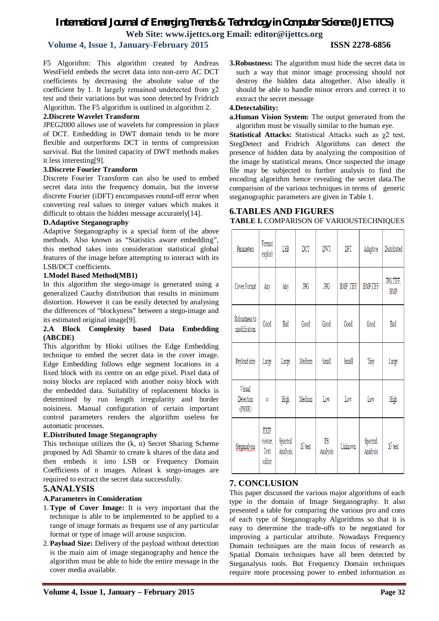# *International Journal of Emerging Trends & Technology in Computer Science (IJETTCS)* **Web Site: www.ijettcs.org Email: editor@ijettcs.org**

# **Volume 4, Issue 1, January-February 2015 ISSN 2278-6856**

F5 Algorithm: This algorithm created by Andreas WestField embeds the secret data into non-zero AC DCT coefficients by decreasing the absolute value of the coefficient by 1. It largely remained undetected from  $\chi$ 2 test and their variations but was soon detected by Fridrich Algorithm. The F5 algorithm is outlined in algorithm 2.

# **2.Discrete Wavelet Transform**

JPEG2000 allows use of wavelets for compression in place of DCT. Embedding in DWT domain tends to be more flexible and outperforms DCT in terms of compression survival. But the limited capacity of DWT methods makes it less interesting[9].

# **3.Discrete Fourier Transform**

Discrete Fourier Transform can also be used to embed secret data into the frequency domain, but the inverse discrete Fourier (iDFT) encompasses round-off error when converting real values to integer values which makes it difficult to obtain the hidden message accurately[14].

### **D.Adaptive Steganography**

Adaptive Steganography is a special form of the above methods. Also known as "Statistics aware embedding", this method takes into consideration statistical global features of the image before attempting to interact with its LSB/DCT coefficients.

# **1.Model Based Method(MB1)**

In this algorithm the stego-image is generated using a generalized Cauchy distribution that results in minimum distortion. However it can be easily detected by analysing the differences of "blockyness" between a stego-image and its estimated original image[9].

# **2.A Block Complexity based Data Embedding (ABCDE)**

This algorithm by Hioki utilises the Edge Embedding technique to embed the secret data in the cover image. Edge Embedding follows edge segment locations in a fixed block with its centre on an edge pixel. Pixel data of noisy blocks are replaced with another noisy block with the embedded data. Suitability of replacement blocks is determined by run length irregularity and border noisiness. Manual configuration of certain important control parameters renders the algorithm useless for automatic processes.

# **E.Distributed Image Steganography**

This technique utilizes the (k, n) Secret Sharing Scheme proposed by Adi Shamir to create k shares of the data and then embeds it into LSB or Frequency Domain Coefficients of n images. Atleast k stego-images are required to extract the secret data successfully.

# **5.ANALYSIS**

# **A.Parameters in Consideration**

- 1.**Type of Cover Image:** It is very important that the technique is able to be implemented to be applied to a range of image formats as frequent use of any particular format or type of image will arouse suspicion.
- 2. **Payload Size:** Delivery of the payload without detection is the main aim of image steganography and hence the algorithm must be able to hide the entire message in the cover media available.
- **Volume 4, Issue 1, January – February 2015 Page 32**

**3.Robustness:** The algorithm must hide the secret data in such a way that minor image processing should not destroy the hidden data altogether. Also ideally it should be able to handle minor errors and correct it to extract the secret message

# **4.Detectability:**

**a.Human Vision System:** The output generated from the algorithm must be visually similar to the human eye.

**Statistical Attacks:** Statistical Attacks such as χ2 test, StegDetect and Fridrich Algorithms can detect the presence of hidden data by analyzing the composition of the image by statistical means. Once suspected the image file may be subjected to further analysis to find the encoding algorithm hence revealing the secret data.The comparison of the various techniques in terms of generic steganographic parameters are given in Table 1.

# **6.TABLES AND FIGURES TABLE I.** COMPARISON OF VARIOUSTECHNIQUES

|  | Parameters                    | Format<br>exploit                 | LSB                  | $_{\rm DCT}$ | <b>DWT</b>     | DFT       | Adaptive             | Distributed             |
|--|-------------------------------|-----------------------------------|----------------------|--------------|----------------|-----------|----------------------|-------------------------|
|  | Cover Format                  | Any                               | Any                  | <b>JPG</b>   | JPG            | BMP, TIFF | <b>BMP,TIFF</b>      | JPG,TIFF,<br><b>BMP</b> |
|  | Robustness to<br>modification | Good                              | Bad                  | Good         | Good           | Good      | Good                 | Bad                     |
|  | Payload size                  | Large                             | Large                | Medium       | Small          | Small     | Tiny                 | Large                   |
|  | Visual<br>Detection<br>(PSNR) | Ø                                 | High                 | Medium       | Low            | Low       | Low                  | High                    |
|  | Steganalysis                  | EXIF<br>viewer,<br>Text<br>editor | Spectral<br>Analysis | $X^2$ test   | RS<br>Analysis | Unknown   | Spectral<br>Analysis | $X^2$ test              |

# **7. CONCLUSION**

This paper discussed the various major algorithms of each type in the domain of Image Steganography. It also presented a table for comparing the various pro and cons of each type of Steganography Algorithms so that it is easy to determine the trade-offs to be negotiated for improving a particular attribute. Nowadays Frequency Domain techniques are the main focus of research as Spatial Domain techniques have all been detected by Steganalysis tools. But Frequency Domain techniques require more processing power to embed information as